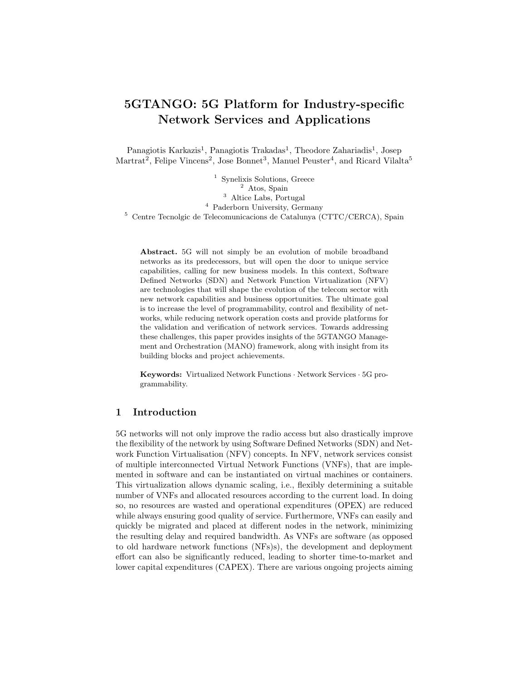# 5GTANGO: 5G Platform for Industry-specific Network Services and Applications

Panagiotis Karkazis<sup>1</sup>, Panagiotis Trakadas<sup>1</sup>, Theodore Zahariadis<sup>1</sup>, Josep  $\text{Martrat}^2$ , Felipe Vincens<sup>2</sup>, Jose Bonnet<sup>3</sup>, Manuel Peuster<sup>4</sup>, and Ricard Vilalta<sup>5</sup>

<sup>1</sup> Synelixis Solutions, Greece Atos, Spain Altice Labs, Portugal Paderborn University, Germany Centre Tecnolgic de Telecomunicacions de Catalunya (CTTC/CERCA), Spain

Abstract. 5G will not simply be an evolution of mobile broadband networks as its predecessors, but will open the door to unique service capabilities, calling for new business models. In this context, Software Defined Networks (SDN) and Network Function Virtualization (NFV) are technologies that will shape the evolution of the telecom sector with new network capabilities and business opportunities. The ultimate goal is to increase the level of programmability, control and flexibility of networks, while reducing network operation costs and provide platforms for the validation and verification of network services. Towards addressing these challenges, this paper provides insights of the 5GTANGO Management and Orchestration (MANO) framework, along with insight from its building blocks and project achievements.

Keywords: Virtualized Network Functions · Network Services · 5G programmability.

## 1 Introduction

5G networks will not only improve the radio access but also drastically improve the flexibility of the network by using Software Defined Networks (SDN) and Network Function Virtualisation (NFV) concepts. In NFV, network services consist of multiple interconnected Virtual Network Functions (VNFs), that are implemented in software and can be instantiated on virtual machines or containers. This virtualization allows dynamic scaling, i.e., flexibly determining a suitable number of VNFs and allocated resources according to the current load. In doing so, no resources are wasted and operational expenditures (OPEX) are reduced while always ensuring good quality of service. Furthermore, VNFs can easily and quickly be migrated and placed at different nodes in the network, minimizing the resulting delay and required bandwidth. As VNFs are software (as opposed to old hardware network functions (NFs)s), the development and deployment effort can also be significantly reduced, leading to shorter time-to-market and lower capital expenditures (CAPEX). There are various ongoing projects aiming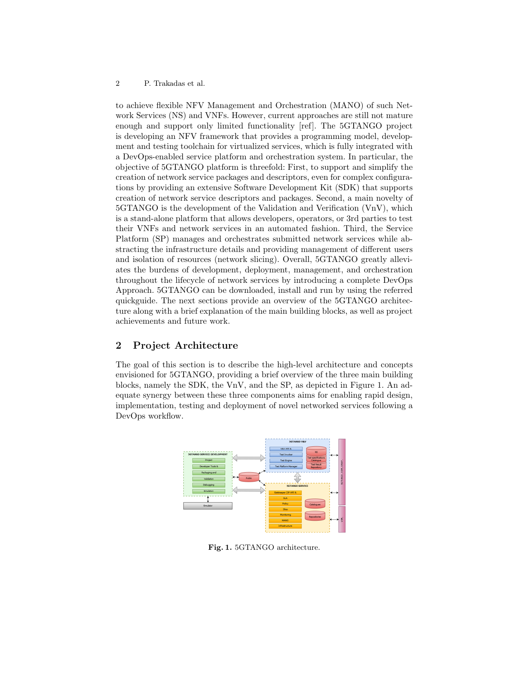#### 2 P. Trakadas et al.

to achieve flexible NFV Management and Orchestration (MANO) of such Network Services (NS) and VNFs. However, current approaches are still not mature enough and support only limited functionality [ref]. The 5GTANGO project is developing an NFV framework that provides a programming model, development and testing toolchain for virtualized services, which is fully integrated with a DevOps-enabled service platform and orchestration system. In particular, the objective of 5GTANGO platform is threefold: First, to support and simplify the creation of network service packages and descriptors, even for complex configurations by providing an extensive Software Development Kit (SDK) that supports creation of network service descriptors and packages. Second, a main novelty of 5GTANGO is the development of the Validation and Verification (VnV), which is a stand-alone platform that allows developers, operators, or 3rd parties to test their VNFs and network services in an automated fashion. Third, the Service Platform (SP) manages and orchestrates submitted network services while abstracting the infrastructure details and providing management of different users and isolation of resources (network slicing). Overall, 5GTANGO greatly alleviates the burdens of development, deployment, management, and orchestration throughout the lifecycle of network services by introducing a complete DevOps Approach. 5GTANGO can be downloaded, install and run by using the referred quickguide. The next sections provide an overview of the 5GTANGO architecture along with a brief explanation of the main building blocks, as well as project achievements and future work.

# 2 Project Architecture

The goal of this section is to describe the high-level architecture and concepts envisioned for 5GTANGO, providing a brief overview of the three main building blocks, namely the SDK, the VnV, and the SP, as depicted in Figure 1. An adequate synergy between these three components aims for enabling rapid design, implementation, testing and deployment of novel networked services following a DevOps workflow.



Fig. 1. 5GTANGO architecture.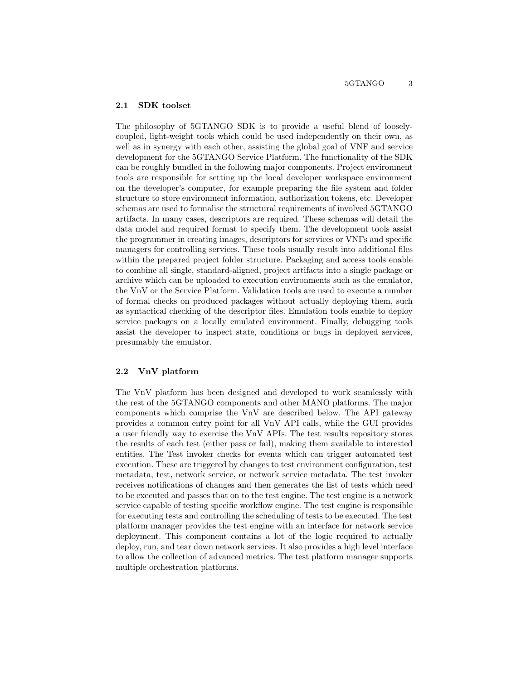### 2.1 SDK toolset

The philosophy of 5GTANGO SDK is to provide a useful blend of looselycoupled, light-weight tools which could be used independently on their own, as well as in synergy with each other, assisting the global goal of VNF and service development for the 5GTANGO Service Platform. The functionality of the SDK can be roughly bundled in the following major components. Project environment tools are responsible for setting up the local developer workspace environment on the developer's computer, for example preparing the file system and folder structure to store environment information, authorization tokens, etc. Developer schemas are used to formalise the structural requirements of involved 5GTANGO artifacts. In many cases, descriptors are required. These schemas will detail the data model and required format to specify them. The development tools assist the programmer in creating images, descriptors for services or VNFs and specific managers for controlling services. These tools usually result into additional files within the prepared project folder structure. Packaging and access tools enable to combine all single, standard-aligned, project artifacts into a single package or archive which can be uploaded to execution environments such as the emulator, the VnV or the Service Platform. Validation tools are used to execute a number of formal checks on produced packages without actually deploying them, such as syntactical checking of the descriptor files. Emulation tools enable to deploy service packages on a locally emulated environment. Finally, debugging tools assist the developer to inspect state, conditions or bugs in deployed services, presumably the emulator.

### 2.2 VnV platform

The VnV platform has been designed and developed to work seamlessly with the rest of the 5GTANGO components and other MANO platforms. The major components which comprise the VnV are described below. The API gateway provides a common entry point for all VnV API calls, while the GUI provides a user friendly way to exercise the VnV APIs. The test results repository stores the results of each test (either pass or fail), making them available to interested entities. The Test invoker checks for events which can trigger automated test execution. These are triggered by changes to test environment configuration, test metadata, test, network service, or network service metadata. The test invoker receives notifications of changes and then generates the list of tests which need to be executed and passes that on to the test engine. The test engine is a network service capable of testing specific workflow engine. The test engine is responsible for executing tests and controlling the scheduling of tests to be executed. The test platform manager provides the test engine with an interface for network service deployment. This component contains a lot of the logic required to actually deploy, run, and tear down network services. It also provides a high level interface to allow the collection of advanced metrics. The test platform manager supports multiple orchestration platforms.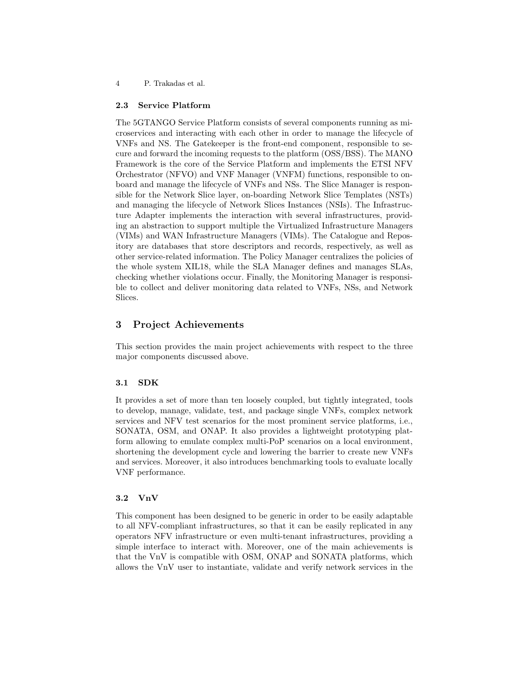4 P. Trakadas et al.

### 2.3 Service Platform

The 5GTANGO Service Platform consists of several components running as microservices and interacting with each other in order to manage the lifecycle of VNFs and NS. The Gatekeeper is the front-end component, responsible to secure and forward the incoming requests to the platform (OSS/BSS). The MANO Framework is the core of the Service Platform and implements the ETSI NFV Orchestrator (NFVO) and VNF Manager (VNFM) functions, responsible to onboard and manage the lifecycle of VNFs and NSs. The Slice Manager is responsible for the Network Slice layer, on-boarding Network Slice Templates (NSTs) and managing the lifecycle of Network Slices Instances (NSIs). The Infrastructure Adapter implements the interaction with several infrastructures, providing an abstraction to support multiple the Virtualized Infrastructure Managers (VIMs) and WAN Infrastructure Managers (VIMs). The Catalogue and Repository are databases that store descriptors and records, respectively, as well as other service-related information. The Policy Manager centralizes the policies of the whole system XIL18, while the SLA Manager defines and manages SLAs, checking whether violations occur. Finally, the Monitoring Manager is responsible to collect and deliver monitoring data related to VNFs, NSs, and Network Slices.

## 3 Project Achievements

This section provides the main project achievements with respect to the three major components discussed above.

## 3.1 SDK

It provides a set of more than ten loosely coupled, but tightly integrated, tools to develop, manage, validate, test, and package single VNFs, complex network services and NFV test scenarios for the most prominent service platforms, i.e., SONATA, OSM, and ONAP. It also provides a lightweight prototyping platform allowing to emulate complex multi-PoP scenarios on a local environment, shortening the development cycle and lowering the barrier to create new VNFs and services. Moreover, it also introduces benchmarking tools to evaluate locally VNF performance.

## 3.2 VnV

This component has been designed to be generic in order to be easily adaptable to all NFV-compliant infrastructures, so that it can be easily replicated in any operators NFV infrastructure or even multi-tenant infrastructures, providing a simple interface to interact with. Moreover, one of the main achievements is that the VnV is compatible with OSM, ONAP and SONATA platforms, which allows the VnV user to instantiate, validate and verify network services in the